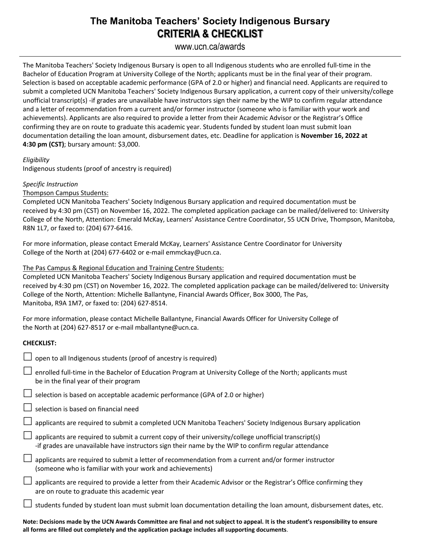## **The Manitoba Teachers' Society Indigenous Bursary CRITERIA & CHECKLIST**

### www.ucn.ca/awards

The Manitoba Teachers' Society Indigenous Bursary is open to all Indigenous students who are enrolled full-time in the Bachelor of Education Program at University College of the North; applicants must be in the final year of their program. Selection is based on acceptable academic performance (GPA of 2.0 or higher) and financial need. Applicants are required to submit a completed UCN Manitoba Teachers' Society Indigenous Bursary application, a current copy of their university/college unofficial transcript(s) -if grades are unavailable have instructors sign their name by the WIP to confirm regular attendance and a letter of recommendation from a current and/or former instructor (someone who is familiar with your work and achievements). Applicants are also required to provide a letter from their Academic Advisor or the Registrar's Office confirming they are on route to graduate this academic year. Students funded by student loan must submit loan documentation detailing the loan amount, disbursement dates, etc. Deadline for application is **November 16, 2022 at 4:30 pm (CST)**; bursary amount: \$3,000.

#### *Eligibility*

Indigenous students (proof of ancestry is required)

#### *Specific Instruction*

Thompson Campus Students:

Completed UCN Manitoba Teachers' Society Indigenous Bursary application and required documentation must be received by 4:30 pm (CST) on November 16, 2022. The completed application package can be mailed/delivered to: University College of the North, Attention: Emerald McKay, Learners' Assistance Centre Coordinator, 55 UCN Drive, Thompson, Manitoba, R8N 1L7, or faxed to: (204) 677-6416.

For more information, please contact Emerald McKay, Learners' Assistance Centre Coordinator for University College of the North at (204) 677-6402 or e-mail emmckay@ucn.ca.

#### The Pas Campus & Regional Education and Training Centre Students:

Completed UCN Manitoba Teachers' Society Indigenous Bursary application and required documentation must be received by 4:30 pm (CST) on November 16, 2022. The completed application package can be mailed/delivered to: University College of the North, Attention: Michelle Ballantyne, Financial Awards Officer, Box 3000, The Pas, Manitoba, R9A 1M7, or faxed to: (204) 627-8514.

For more information, please contact Michelle Ballantyne, Financial Awards Officer for University College of the North at (204) 627-8517 or e-mail mballantyne@ucn.ca.

#### **CHECKLIST:**

| $\Box$ open to all Indigenous students (proof of ancestry is required)                                                                                                                                               |
|----------------------------------------------------------------------------------------------------------------------------------------------------------------------------------------------------------------------|
| enrolled full-time in the Bachelor of Education Program at University College of the North; applicants must<br>be in the final year of their program                                                                 |
| $\Box$ selection is based on acceptable academic performance (GPA of 2.0 or higher)                                                                                                                                  |
| $\Box$ selection is based on financial need                                                                                                                                                                          |
| $\Box$ applicants are required to submit a completed UCN Manitoba Teachers' Society Indigenous Bursary application                                                                                                   |
| $\Box$ applicants are required to submit a current copy of their university/college unofficial transcript(s)<br>-if grades are unavailable have instructors sign their name by the WIP to confirm regular attendance |
| applicants are required to submit a letter of recommendation from a current and/or former instructor<br>(someone who is familiar with your work and achievements)                                                    |
| applicants are required to provide a letter from their Academic Advisor or the Registrar's Office confirming they<br>are on route to graduate this academic year                                                     |
| students funded by student loan must submit loan documentation detailing the loan amount, disbursement dates, etc.                                                                                                   |

**Note: Decisions made by the UCN Awards Committee are final and not subject to appeal. It is the student's responsibility to ensure all forms are filled out completely and the application package includes all supporting documents**.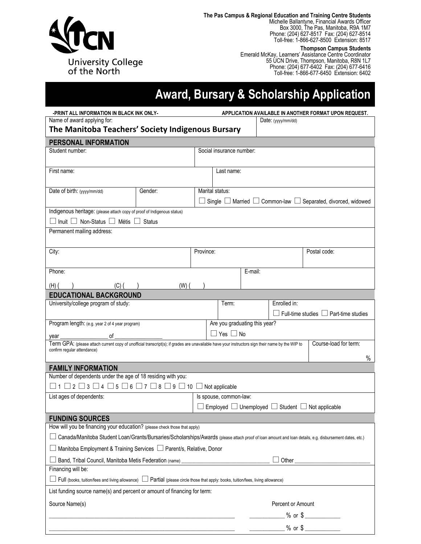

**The Pas Campus & Regional Education and Training Centre Students** Michelle Ballantyne, Financial Awards Officer Box 3000, The Pas, Manitoba, R9A 1M7 Phone: (204) 627-8517 Fax: (204) 627-8514 Toll-free: 1-866-627-8500 Extension: 8517

> **Thompson Campus Students** Emerald McKay, Learners' Assistance Centre Coordinator 55 UCN Drive, Thompson, Manitoba, R8N 1L7 Phone: (204) 677-6402 Fax: (204) 677-6416 Toll-free: 1-866-677-6450 Extension: 6402

# **Award, Bursary & Scholarship Application**

| -PRINT ALL INFORMATION IN BLACK INK ONLY-                                                                                                                |                                                                                                                                                                           | APPLICATION AVAILABLE IN ANOTHER FORMAT UPON REQUEST. |                                                                                    |         |              |                                                                 |  |  |  |
|----------------------------------------------------------------------------------------------------------------------------------------------------------|---------------------------------------------------------------------------------------------------------------------------------------------------------------------------|-------------------------------------------------------|------------------------------------------------------------------------------------|---------|--------------|-----------------------------------------------------------------|--|--|--|
| Name of award applying for:                                                                                                                              |                                                                                                                                                                           |                                                       | Date: (yyyy/mm/dd)                                                                 |         |              |                                                                 |  |  |  |
| The Manitoba Teachers' Society Indigenous Bursary                                                                                                        |                                                                                                                                                                           |                                                       |                                                                                    |         |              |                                                                 |  |  |  |
| PERSONAL INFORMATION                                                                                                                                     |                                                                                                                                                                           |                                                       |                                                                                    |         |              |                                                                 |  |  |  |
| Student number:                                                                                                                                          |                                                                                                                                                                           |                                                       | Social insurance number:                                                           |         |              |                                                                 |  |  |  |
|                                                                                                                                                          |                                                                                                                                                                           |                                                       |                                                                                    |         |              |                                                                 |  |  |  |
| First name:                                                                                                                                              |                                                                                                                                                                           |                                                       | Last name:                                                                         |         |              |                                                                 |  |  |  |
|                                                                                                                                                          |                                                                                                                                                                           |                                                       |                                                                                    |         |              |                                                                 |  |  |  |
| Date of birth: (yyyy/mm/dd)                                                                                                                              | Gender:                                                                                                                                                                   |                                                       | Marital status:                                                                    |         |              |                                                                 |  |  |  |
|                                                                                                                                                          |                                                                                                                                                                           |                                                       | $\Box$ Single $\Box$ Married $\Box$ Common-law $\Box$ Separated, divorced, widowed |         |              |                                                                 |  |  |  |
| Indigenous heritage: (please attach copy of proof of Indigenous status)                                                                                  |                                                                                                                                                                           |                                                       |                                                                                    |         |              |                                                                 |  |  |  |
| $\Box$ Inuit $\Box$ Non-Status $\Box$ Métis $\Box$ Status                                                                                                |                                                                                                                                                                           |                                                       |                                                                                    |         |              |                                                                 |  |  |  |
| Permanent mailing address:                                                                                                                               |                                                                                                                                                                           |                                                       |                                                                                    |         |              |                                                                 |  |  |  |
|                                                                                                                                                          |                                                                                                                                                                           |                                                       |                                                                                    |         |              |                                                                 |  |  |  |
| City:                                                                                                                                                    |                                                                                                                                                                           |                                                       | Province:                                                                          |         |              | Postal code:                                                    |  |  |  |
|                                                                                                                                                          |                                                                                                                                                                           |                                                       |                                                                                    |         |              |                                                                 |  |  |  |
| Phone:                                                                                                                                                   |                                                                                                                                                                           |                                                       |                                                                                    | E-mail: |              |                                                                 |  |  |  |
| $(H)$ (<br>$(C)$ (                                                                                                                                       | (W)                                                                                                                                                                       |                                                       |                                                                                    |         |              |                                                                 |  |  |  |
| <b>EDUCATIONAL BACKGROUND</b>                                                                                                                            |                                                                                                                                                                           |                                                       |                                                                                    |         |              |                                                                 |  |  |  |
| University/college program of study:                                                                                                                     |                                                                                                                                                                           |                                                       | Term:<br>$\mathsf{L}$                                                              |         | Enrolled in: |                                                                 |  |  |  |
|                                                                                                                                                          |                                                                                                                                                                           |                                                       |                                                                                    |         |              | Full-time studies $\Box$ Part-time studies                      |  |  |  |
| Program length: (e.g. year 2 of 4 year program)                                                                                                          |                                                                                                                                                                           |                                                       | Are you graduating this year?                                                      |         |              |                                                                 |  |  |  |
| $\Box$ Yes $\Box$ No<br>of<br>vear                                                                                                                       |                                                                                                                                                                           |                                                       |                                                                                    |         |              |                                                                 |  |  |  |
|                                                                                                                                                          | Course-load for term:<br>Term GPA: (please attach current copy of unofficial transcript(s); if grades are unavailable have your instructors sign their name by the WIP to |                                                       |                                                                                    |         |              |                                                                 |  |  |  |
|                                                                                                                                                          | confirm regular attendance)<br>$\%$                                                                                                                                       |                                                       |                                                                                    |         |              |                                                                 |  |  |  |
| <b>FAMILY INFORMATION</b>                                                                                                                                |                                                                                                                                                                           |                                                       |                                                                                    |         |              |                                                                 |  |  |  |
| Number of dependents under the age of 18 residing with you:                                                                                              |                                                                                                                                                                           |                                                       |                                                                                    |         |              |                                                                 |  |  |  |
| $\Box$ 1 $\Box$ 2 $\Box$ 3 $\Box$ 4 $\Box$ 5 $\Box$ 6 $\Box$ 7 $\Box$ 8 $\Box$ 9 $\Box$ 10 $\Box$ Not applicable                                         |                                                                                                                                                                           |                                                       |                                                                                    |         |              |                                                                 |  |  |  |
| List ages of dependents:                                                                                                                                 |                                                                                                                                                                           |                                                       | Is spouse, common-law:                                                             |         |              |                                                                 |  |  |  |
|                                                                                                                                                          |                                                                                                                                                                           |                                                       |                                                                                    |         |              | Employed $\Box$ Unemployed $\Box$ Student $\Box$ Not applicable |  |  |  |
| <b>FUNDING SOURCES</b>                                                                                                                                   |                                                                                                                                                                           |                                                       |                                                                                    |         |              |                                                                 |  |  |  |
| How will you be financing your education? (please check those that apply)                                                                                |                                                                                                                                                                           |                                                       |                                                                                    |         |              |                                                                 |  |  |  |
| ∟ Canada/Manitoba Student Loan/Grants/Bursaries/Scholarships/Awards (please attach proof of loan amount and loan details, e.g. disbursement dates, etc.) |                                                                                                                                                                           |                                                       |                                                                                    |         |              |                                                                 |  |  |  |
|                                                                                                                                                          | Manitoba Employment & Training Services □ Parent/s, Relative, Donor                                                                                                       |                                                       |                                                                                    |         |              |                                                                 |  |  |  |
| Band, Tribal Council, Manitoba Metis Federation (name) _________________________                                                                         |                                                                                                                                                                           |                                                       |                                                                                    |         |              |                                                                 |  |  |  |
| Financing will be:                                                                                                                                       |                                                                                                                                                                           |                                                       |                                                                                    |         |              |                                                                 |  |  |  |
| Full (books, tuition/fees and living allowance)<br>Detail (please circle those that apply: books, tuition/fees, living allowance)                        |                                                                                                                                                                           |                                                       |                                                                                    |         |              |                                                                 |  |  |  |
| List funding source name(s) and percent or amount of financing for term:                                                                                 |                                                                                                                                                                           |                                                       |                                                                                    |         |              |                                                                 |  |  |  |
| Source Name(s)<br>Percent or Amount                                                                                                                      |                                                                                                                                                                           |                                                       |                                                                                    |         |              |                                                                 |  |  |  |
|                                                                                                                                                          |                                                                                                                                                                           |                                                       |                                                                                    |         |              |                                                                 |  |  |  |
|                                                                                                                                                          |                                                                                                                                                                           | ______________% or \$ ______________                  |                                                                                    |         |              |                                                                 |  |  |  |
|                                                                                                                                                          |                                                                                                                                                                           |                                                       |                                                                                    |         |              |                                                                 |  |  |  |